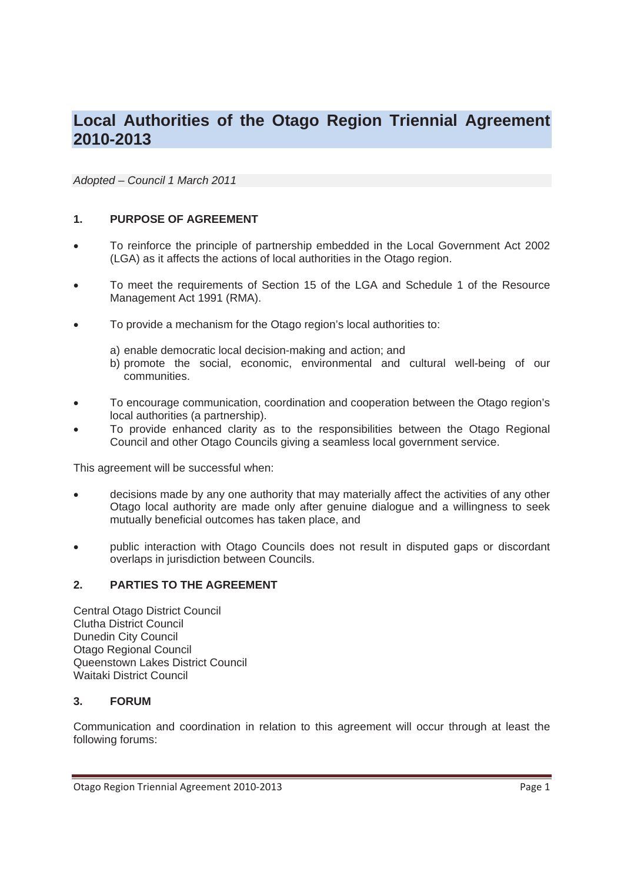# **Local Authorities of the Otago Region Triennial Agreement 2010-2013**

*Adopted – Council 1 March 2011* 

## **1. PURPOSE OF AGREEMENT**

- To reinforce the principle of partnership embedded in the Local Government Act 2002 (LGA) as it affects the actions of local authorities in the Otago region.
- To meet the requirements of Section 15 of the LGA and Schedule 1 of the Resource Management Act 1991 (RMA).
- To provide a mechanism for the Otago region's local authorities to:
	- a) enable democratic local decision-making and action; and
	- b) promote the social, economic, environmental and cultural well-being of our communities.
- To encourage communication, coordination and cooperation between the Otago region's local authorities (a partnership).
- To provide enhanced clarity as to the responsibilities between the Otago Regional Council and other Otago Councils giving a seamless local government service.

This agreement will be successful when:

- decisions made by any one authority that may materially affect the activities of any other Otago local authority are made only after genuine dialogue and a willingness to seek mutually beneficial outcomes has taken place, and
- public interaction with Otago Councils does not result in disputed gaps or discordant overlaps in jurisdiction between Councils.

#### **2. PARTIES TO THE AGREEMENT**

Central Otago District Council Clutha District Council Dunedin City Council Otago Regional Council Queenstown Lakes District Council Waitaki District Council

#### **3. FORUM**

Communication and coordination in relation to this agreement will occur through at least the following forums: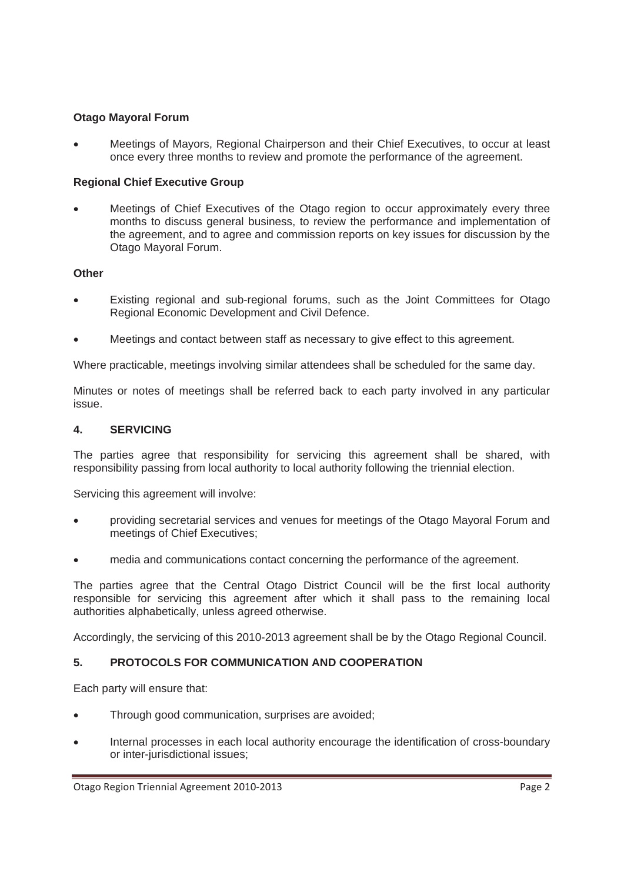## **Otago Mayoral Forum**

x Meetings of Mayors, Regional Chairperson and their Chief Executives, to occur at least once every three months to review and promote the performance of the agreement.

## **Regional Chief Executive Group**

x Meetings of Chief Executives of the Otago region to occur approximately every three months to discuss general business, to review the performance and implementation of the agreement, and to agree and commission reports on key issues for discussion by the Otago Mayoral Forum.

## **Other**

- Existing regional and sub-regional forums, such as the Joint Committees for Otago Regional Economic Development and Civil Defence.
- Meetings and contact between staff as necessary to give effect to this agreement.

Where practicable, meetings involving similar attendees shall be scheduled for the same day.

Minutes or notes of meetings shall be referred back to each party involved in any particular issue.

#### **4. SERVICING**

The parties agree that responsibility for servicing this agreement shall be shared, with responsibility passing from local authority to local authority following the triennial election.

Servicing this agreement will involve:

- providing secretarial services and venues for meetings of the Otago Mayoral Forum and meetings of Chief Executives;
- media and communications contact concerning the performance of the agreement.

The parties agree that the Central Otago District Council will be the first local authority responsible for servicing this agreement after which it shall pass to the remaining local authorities alphabetically, unless agreed otherwise.

Accordingly, the servicing of this 2010-2013 agreement shall be by the Otago Regional Council.

## **5. PROTOCOLS FOR COMMUNICATION AND COOPERATION**

Each party will ensure that:

- Through good communication, surprises are avoided;
- Internal processes in each local authority encourage the identification of cross-boundary or inter-jurisdictional issues;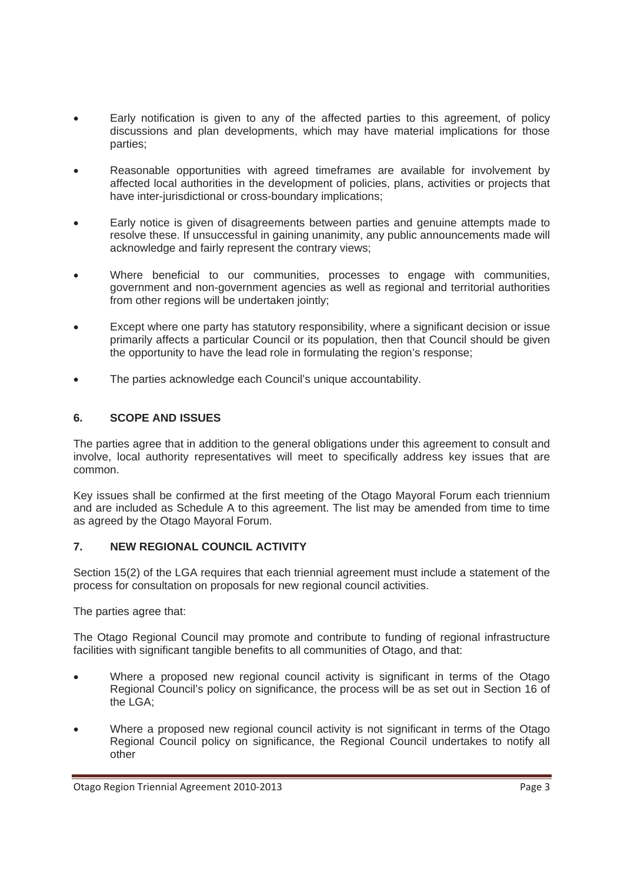- Early notification is given to any of the affected parties to this agreement, of policy discussions and plan developments, which may have material implications for those parties;
- Reasonable opportunities with agreed timeframes are available for involvement by affected local authorities in the development of policies, plans, activities or projects that have inter-jurisdictional or cross-boundary implications;
- Early notice is given of disagreements between parties and genuine attempts made to resolve these. If unsuccessful in gaining unanimity, any public announcements made will acknowledge and fairly represent the contrary views;
- Where beneficial to our communities, processes to engage with communities, government and non-government agencies as well as regional and territorial authorities from other regions will be undertaken jointly;
- Except where one party has statutory responsibility, where a significant decision or issue primarily affects a particular Council or its population, then that Council should be given the opportunity to have the lead role in formulating the region's response;
- The parties acknowledge each Council's unique accountability.

## **6. SCOPE AND ISSUES**

The parties agree that in addition to the general obligations under this agreement to consult and involve, local authority representatives will meet to specifically address key issues that are common.

Key issues shall be confirmed at the first meeting of the Otago Mayoral Forum each triennium and are included as Schedule A to this agreement. The list may be amended from time to time as agreed by the Otago Mayoral Forum.

## **7. NEW REGIONAL COUNCIL ACTIVITY**

Section 15(2) of the LGA requires that each triennial agreement must include a statement of the process for consultation on proposals for new regional council activities.

The parties agree that:

The Otago Regional Council may promote and contribute to funding of regional infrastructure facilities with significant tangible benefits to all communities of Otago, and that:

- Where a proposed new regional council activity is significant in terms of the Otago Regional Council's policy on significance, the process will be as set out in Section 16 of the LGA;
- Where a proposed new regional council activity is not significant in terms of the Otago Regional Council policy on significance, the Regional Council undertakes to notify all other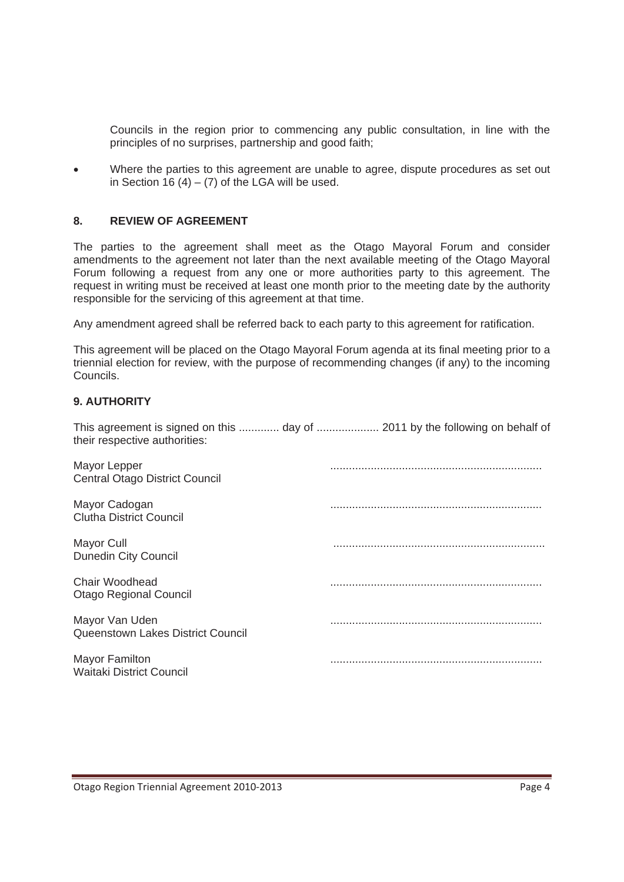Councils in the region prior to commencing any public consultation, in line with the principles of no surprises, partnership and good faith;

Where the parties to this agreement are unable to agree, dispute procedures as set out in Section 16  $(4) - (7)$  of the LGA will be used.

#### **8. REVIEW OF AGREEMENT**

The parties to the agreement shall meet as the Otago Mayoral Forum and consider amendments to the agreement not later than the next available meeting of the Otago Mayoral Forum following a request from any one or more authorities party to this agreement. The request in writing must be received at least one month prior to the meeting date by the authority responsible for the servicing of this agreement at that time.

Any amendment agreed shall be referred back to each party to this agreement for ratification.

This agreement will be placed on the Otago Mayoral Forum agenda at its final meeting prior to a triennial election for review, with the purpose of recommending changes (if any) to the incoming Councils.

## **9. AUTHORITY**

This agreement is signed on this ............. day of .................... 2011 by the following on behalf of their respective authorities:

| Mayor Lepper<br>Central Otago District Council           |  |
|----------------------------------------------------------|--|
| Mayor Cadogan<br><b>Clutha District Council</b>          |  |
| Mayor Cull<br><b>Dunedin City Council</b>                |  |
| Chair Woodhead<br><b>Otago Regional Council</b>          |  |
| Mayor Van Uden<br>Queenstown Lakes District Council      |  |
| <b>Mayor Familton</b><br><b>Waitaki District Council</b> |  |